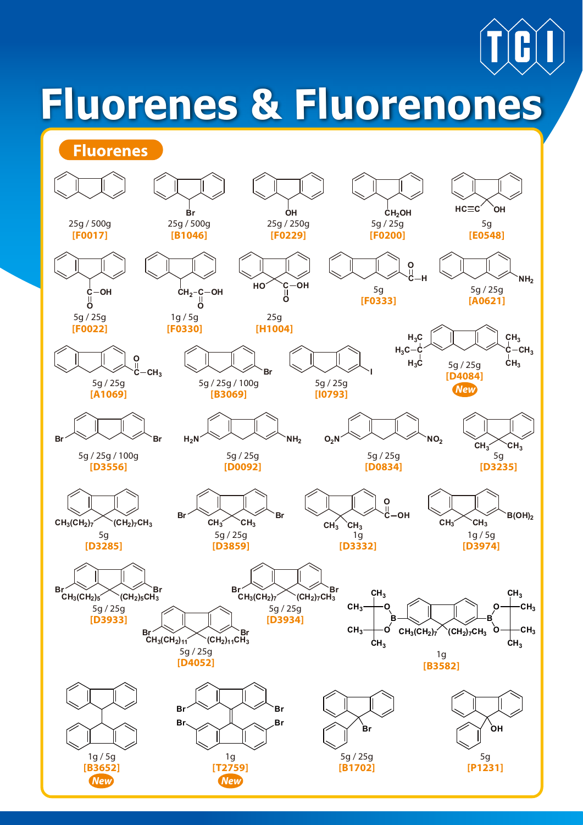# **Fluorenes & Fluorenones**